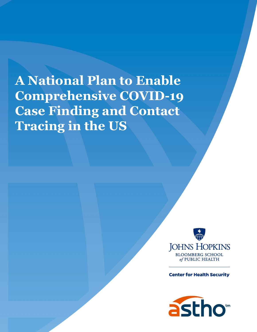**A National Plan to Enable Comprehensive COVID-19 Case Finding and Contact Tracing in the US**



**Center for Health Security** 

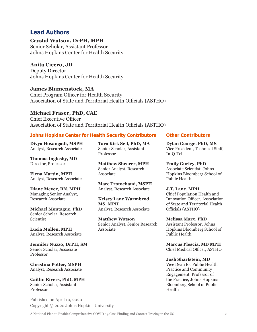#### **Lead Authors**

**Crystal Watson, DrPH, MPH** Senior Scholar, Assistant Professor Johns Hopkins Center for Health Security

**Anita Cicero, JD** Deputy Director Johns Hopkins Center for Health Security

**James Blumenstock, MA** Chief Program Officer for Health Security Association of State and Territorial Health Officials (ASTHO)

#### **Michael Fraser, PhD, CAE**

Chief Executive Officer Association of State and Territorial Health Officials (ASTHO)

#### **Johns Hopkins Center for Health Security Contributors Other Contributors**

**Divya Hosangadi, MSPH** Analyst, Research Associate

**Thomas Inglesby, MD** Director, Professor

**Elena Martin, MPH** Analyst, Research Associate

**Diane Meyer, RN, MPH** Managing Senior Analyst, Research Associate

**Michael Montague, PhD** Senior Scholar, Research Scientist

**Lucia Mullen, MPH** Analyst, Research Associate

**Jennifer Nuzzo, DrPH, SM** Senior Scholar, Associate Professor

**Christina Potter, MSPH** Analyst, Research Associate

**Caitlin Rivers, PhD, MPH** Senior Scholar, Assistant Professor

Published on April 10, 2020 Copyright © 2020 Johns Hopkins University

**Tara Kirk Sell, PhD, MA** Senior Scholar, Assistant Professor

**Matthew Shearer, MPH** Senior Analyst, Research Associate

**Marc Trotochaud, MSPH** Analyst, Research Associate

**Kelsey Lane Warmbrod, MS, MPH** Analyst, Research Associate

**Matthew Watson** Senior Analyst, Senior Research Associate

**Dylan George, PhD, MS** Vice President, Technical Staff, In-Q-Tel

**Emily Gurley, PhD** Associate Scientist, Johns Hopkins Bloomberg School of Public Health

**J.T. Lane, MPH** Chief Population Health and Innovation Officer, Association of State and Territorial Health Officials (ASTHO)

**Melissa Marx, PhD** Assistant Professor, Johns Hopkins Bloomberg School of Public Health

**Marcus Plescia, MD MPH** Chief Medical Officer, ASTHO

#### **Josh Sharfstein, MD**

Vice Dean for Public Health Practice and Community Engagement, Professor of the Practice, Johns Hopkins Bloomberg School of Public Health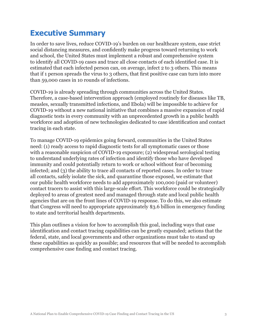## **Executive Summary**

In order to save lives, reduce COVID-19's burden on our healthcare system, ease strict social distancing measures, and confidently make progress toward returning to work and school, the United States must implement a robust and comprehensive system to identify all COVID-19 cases and trace all close contacts of each identified case. It is estimated that each infected person can, on average, infect 2 to 3 others. This means that if 1 person spreads the virus to 3 others, that first positive case can turn into more than 59,000 cases in 10 rounds of infections.

COVID-19 is already spreading through communities across the United States. Therefore, a case-based intervention approach (employed routinely for diseases like TB, measles, sexually transmitted infections, and Ebola) will be impossible to achieve for COVID-19 without a new national initiative that combines a massive expansion of rapid diagnostic tests in every community with an unprecedented growth in a public health workforce and adoption of new technologies dedicated to case identification and contact tracing in each state.

To manage COVID-19 epidemics going forward, communities in the United States need: (1) ready access to rapid diagnostic tests for all symptomatic cases or those with a reasonable suspicion of COVID-19 exposure; (2) widespread serological testing to understand underlying rates of infection and identify those who have developed immunity and could potentially return to work or school without fear of becoming infected; and (3) the ability to trace all contacts of reported cases. In order to trace all contacts, safely isolate the sick, and quarantine those exposed, we estimate that our public health workforce needs to add approximately 100,000 (paid or volunteer) contact tracers to assist with this large-scale effort. This workforce could be strategically deployed to areas of greatest need and managed through state and local public health agencies that are on the front lines of COVID-19 response. To do this, we also estimate that Congress will need to appropriate approximately \$3.6 billion in emergency funding to state and territorial health departments.

This plan outlines a vision for how to accomplish this goal, including ways that case identification and contact tracing capabilities can be greatly expanded; actions that the federal, state, and local governments and other organizations must take to stand up these capabilities as quickly as possible; and resources that will be needed to accomplish comprehensive case finding and contact tracing.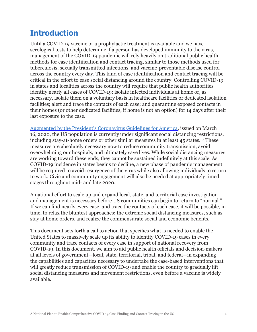## **Introduction**

Until a COVID-19 vaccine or a prophylactic treatment is available and we have serological tests to help determine if a person has developed immunity to the virus, management of the COVID-19 pandemic will rely heavily on traditional public health methods for case identification and contact tracing, similar to those methods used for tuberculosis, sexually transmitted infections, and vaccine-preventable disease control across the country every day. This kind of case identification and contact tracing will be critical in the effort to ease social distancing around the country. Controlling COVID-19 in states and localities across the country will require that public health authorities identify nearly all cases of COVID-19; isolate infected individuals at home or, as necessary, isolate them on a voluntary basis in healthcare facilities or dedicated isolation facilities; alert and trace the contacts of each case; and quarantine exposed contacts in their homes (or other dedicated facilities, if home is not an option) for 14 days after their last exposure to the case.

[Augmented by the President's Coronavirus Guidelines for America](https://www.whitehouse.gov/wp-content/uploads/2020/03/03.16.20_coronavirus-guidance_8.5x11_315PM.pdf), issued on March 16, 2020, the US population is currently under significant social distancing restrictions, including stay-at-home orders or other similar measures in at least  $45$  states.<sup>1,2</sup> These measures are absolutely necessary now to reduce community transmission, avoid overwhelming our hospitals, and ultimately save lives. While social distancing measures are working toward these ends, they cannot be sustained indefinitely at this scale. As COVID-19 incidence in states begins to decline, a new phase of pandemic management will be required to avoid resurgence of the virus while also allowing individuals to return to work. Civic and community engagement will also be needed at appropriately timed stages throughout mid- and late 2020.

A national effort to scale up and expand local, state, and territorial case investigation and management is necessary before US communities can begin to return to "normal." If we can find nearly every case, and trace the contacts of each case, it will be possible, in time, to relax the bluntest approaches: the extreme social distancing measures, such as stay at home orders, and realize the commensurate social and economic benefits.

This document sets forth a call to action that specifies what is needed to enable the United States to massively scale up its ability to identify COVID-19 cases in every community and trace contacts of every case in support of national recovery from COVID-19. In this document, we aim to aid public health officials and decision-makers at all levels of government—local, state, territorial, tribal, and federal—in expanding the capabilities and capacities necessary to undertake the case-based interventions that will greatly reduce transmission of COVID-19 and enable the country to gradually lift social distancing measures and movement restrictions, even before a vaccine is widely available.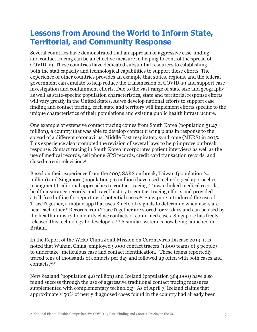# **Lessons from Around the World to Inform State, Territorial, and Community Response**

Several countries have demonstrated that an approach of aggressive case-finding and contact tracing can be an effective measure in helping to control the spread of COVID-19. These countries have dedicated substantial resources to establishing both the staff capacity and technological capabilities to support these efforts. The experience of other countries provides an example that states, regions, and the federal government can emulate to help reduce the transmission of COVID-19 and support case investigation and containment efforts. Due to the vast range of state size and geography as well as state-specific population characteristics, state and territorial response efforts will vary greatly in the United States. As we develop national efforts to support case finding and contact tracing, each state and territory will implement efforts specific to the unique characteristics of their populations and existing public health infrastructure.

One example of extensive contact tracing comes from South Korea (population 51.47 million), a country that was able to develop contact tracing plans in response to the spread of a different coronavirus, Middle East respiratory syndrome (MERS) in 2015. This experience also prompted the revision of several laws to help improve outbreak response. Contact tracing in South Korea incorporates patient interviews as well as the use of medical records, cell phone GPS records, credit card transaction records, and closed-circuit television.<sup>3</sup>

Based on their experience from the 2003 SARS outbreak, Taiwan (population 24 million) and Singapore (population 5.6 million) have used technological approaches to augment traditional approaches to contact tracing. Taiwan linked medical records, health insurance records, and travel history to contact tracing efforts and provided a toll-free hotline for reporting of potential cases.4,5 Singapore introduced the use of TraceTogether, a mobile app that uses Bluetooth signals to determine when users are near each other.6 Records from TraceTogether are stored for 21 days and can be used by the health ministry to identify close contacts of confirmed cases. Singapore has freely released this technology to developers.7-9 A similar system is now being launched in Britain.

In the Report of the WHO-China Joint Mission on Coronavirus Disease 2019, it is noted that Wuhan, China, employed 9,000 contact tracers (1,800 teams of 5 people) to undertake "meticulous case and contact identification." These teams reportedly traced tens of thousands of contacts per day and followed up often with both cases and contacts.10,11

New Zealand (population 4.8 million) and Iceland (population 364,000) have also found success through the use of aggressive traditional contact tracing measures supplemented with complementary technology. As of April 7, Iceland claims that approximately 50% of newly diagnosed cases found in the country had already been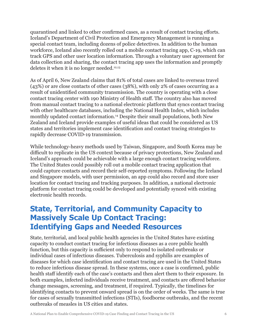quarantined and linked to other confirmed cases, as a result of contact tracing efforts. Iceland's Department of Civil Protection and Emergency Management is running a special contact team, including dozens of police detectives. In addition to the human workforce, Iceland also recently rolled out a mobile contact tracing app, C-19, which can track GPS and other user location information. Through a voluntary user agreement for data collection and sharing, the contact tracing app uses the information and promptly deletes it when it is no longer needed. $12,13$ 

As of April 6, New Zealand claims that 81% of total cases are linked to overseas travel (43%) or are close contacts of other cases (38%), with only 2% of cases occurring as a result of unidentified community transmission. The country is operating with a close contact tracing center with 190 Ministry of Health staff. The country also has moved from manual contact tracing to a national electronic platform that syncs contact tracing with other healthcare databases, including the National Health Index, which includes monthly updated contact information.<sup>14</sup> Despite their small populations, both New Zealand and Iceland provide examples of useful ideas that could be considered as US states and territories implement case identification and contact tracing strategies to rapidly decrease COVID-19 transmission.

While technology-heavy methods used by Taiwan, Singapore, and South Korea may be difficult to replicate in the US context because of privacy protections, New Zealand and Iceland's approach could be achievable with a large enough contact tracing workforce. The United States could possibly roll out a mobile contact tracing application that could capture contacts and record their self-reported symptoms. Following the Iceland and Singapore models, with user permission, an app could also record and store user location for contact tracing and tracking purposes. In addition, a national electronic platform for contact tracing could be developed and potentially synced with existing electronic health records.

# **State, Territorial, and Community Capacity to Massively Scale Up Contact Tracing: Identifying Gaps and Needed Resources**

State, territorial, and local public health agencies in the United States have existing capacity to conduct contact tracing for infectious diseases as a core public health function, but this capacity is sufficient only to respond to isolated outbreaks or individual cases of infectious diseases. Tuberculosis and syphilis are examples of diseases for which case identification and contact tracing are used in the United States to reduce infectious disease spread. In these systems, once a case is confirmed, public health staff identify each of the case's contacts and then alert them to their exposure. In both examples, infected individuals receive treatment, and contacts are offered behavior change messages, screening, and treatment, if required. Typically, the timelines for identifying contacts to prevent onward spread is on the order of weeks. The same is true for cases of sexually transmitted infections (STIs), foodborne outbreaks, and the recent outbreaks of measles in US cities and states.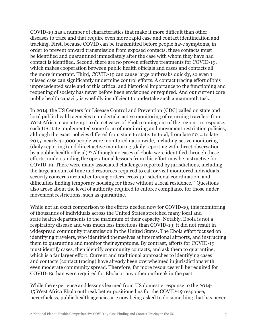COVID-19 has a number of characteristics that make it more difficult than other diseases to trace and that require even more rapid case and contact identification and tracking. First, because COVID can be transmitted before people have symptoms, in order to prevent onward transmission from exposed contacts, these contacts must be identified and quarantined immediately after the case with whom they have had contact is identified. Second, there are no proven effective treatments for COVID-19, which makes cooperation between public health officials and cases and contacts all the more important. Third, COVID-19 can cause large outbreaks quickly, so even 1 missed case can significantly undermine control efforts. A contact tracing effort of this unprecedented scale and of this critical and historical importance to the functioning and reopening of society has never before been envisioned or required. And our current core public health capacity is woefully insufficient to undertake such a mammoth task.

In 2014, the US Centers for Disease Control and Prevention (CDC) called on state and local public health agencies to undertake active monitoring of returning travelers from West Africa in an attempt to detect cases of Ebola coming out of the region. In response, each US state implemented some form of monitoring and movement restriction policies, although the exact policies differed from state to state. In total, from late 2014 to late 2015, nearly 30,000 people were monitored nationwide, including active monitoring (daily reporting) and direct active monitoring (daily reporting with direct observation by a public health official).<sup>15</sup> Although no cases of Ebola were identified through these efforts, understanding the operational lessons from this effort may be instructive for COVID-19. There were many associated challenges reported by jurisdictions, including the large amount of time and resources required to call or visit monitored individuals, security concerns around enforcing orders, cross-jurisdictional coordination, and difficulties finding temporary housing for those without a local residence.16 Questions also arose about the level of authority required to enforce compliance for those under movement restrictions, such as quarantine.

While not an exact comparison to the efforts needed now for COVID-19, this monitoring of thousands of individuals across the United States stretched many local and state health departments to the maximum of their capacity. Notably, Ebola is not a respiratory disease and was much less infectious than COVID-19; it did not result in widespread community transmission in the United States. The Ebola effort focused on identifying travelers, who identified themselves at international airports, and instructing them to quarantine and monitor their symptoms. By contrast, efforts for COVID-19 must identify cases, then identify community contacts, and ask them to quarantine, which is a far larger effort. Current and traditional approaches to identifying cases and contacts (contact tracing) have already been overwhelmed in jurisdictions with even moderate community spread. Therefore, far more resources will be required for COVID-19 than were required for Ebola or any other outbreak in the past.

While the experience and lessons learned from US domestic response to the 2014- 15 West Africa Ebola outbreak better positioned us for the COVID-19 response, nevertheless, public health agencies are now being asked to do something that has never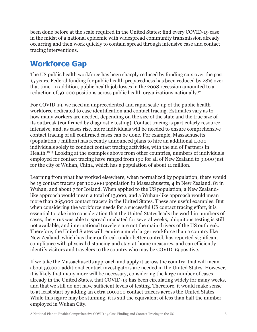been done before at the scale required in the United States: find every COVID-19 case in the midst of a national epidemic with widespread community transmission already occurring and then work quickly to contain spread through intensive case and contact tracing interventions.

# **Workforce Gap**

The US public health workforce has been sharply reduced by funding cuts over the past 15 years. Federal funding for public health preparedness has been reduced by 28% over that time. In addition, public health job losses in the 2008 recession amounted to a reduction of 50,000 positions across public health organizations nationally.17

For COVID-19, we need an unprecedented and rapid scale-up of the public health workforce dedicated to case identification and contact tracing. Estimates vary as to how many workers are needed, depending on the size of the state and the true size of its outbreak (confirmed by diagnostic testing). Contact tracing is particularly resource intensive, and, as cases rise, more individuals will be needed to ensure comprehensive contact tracing of all confirmed cases can be done. For example, Massachusetts (population 7 million) has recently announced plans to hire an additional 1,000 individuals solely to conduct contact tracing activities, with the aid of Partners in Health.18,19 Looking at the examples above from other countries, numbers of individuals employed for contact tracing have ranged from 190 for all of New Zealand to 9,000 just for the city of Wuhan, China, which has a population of about 11 million.

Learning from what has worked elsewhere, when normalized by population, there would be 15 contact tracers per 100,000 population in Massachusetts, 4 in New Zealand, 81 in Wuhan, and about 7 for Iceland. When applied to the US population, a New Zealandlike approach would mean a total of 13,000, and a Wuhan-like approach would mean more than 265,000 contact tracers in the United States. These are useful examples. But when considering the workforce needs for a successful US contact tracing effort, it is essential to take into consideration that the United States leads the world in numbers of cases, the virus was able to spread unabated for several weeks, ubiquitous testing is still not available, and international travelers are not the main drivers of the US outbreak. Therefore, the United States will require a much larger workforce than a country like New Zealand, which has their outbreak under better control, has reported significant compliance with physical distancing and stay-at-home measures, and can efficiently identify visitors and travelers to the country who may be COVID-19 positive.

If we take the Massachusetts approach and apply it across the country, that will mean about 50,000 additional contact investigators are needed in the United States. However, it is likely that many more will be necessary, considering the large number of cases already in the United States, that COVID-19 has been circulating widely for many weeks, and that we still do not have sufficient levels of testing. Therefore, it would make sense to at least start by adding an extra 100,000 contact tracers across the United States. While this figure may be stunning, it is still the equivalent of less than half the number employed in Wuhan City.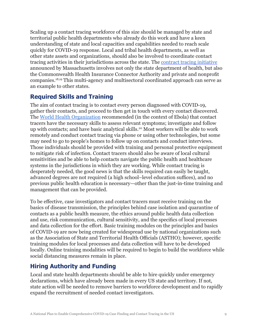Scaling up a contact tracing workforce of this size should be managed by state and territorial public health departments who already do this work and have a keen understanding of state and local capacities and capabilities needed to reach scale quickly for COVID-19 response. Local and tribal health departments, as well as other state assets and organizations, should also be involved to coordinate contact tracing activities in their jurisdictions across the state. The [contract tracing initiative](https://homelandprepnews.com/stories/46974-massachusetts-governor-launches-contact-tracing-initiative-to-mitigate-the-spread-of-covid-19/) announced by Massachusetts involves not only the state department of health, but also the Commonwealth Health Insurance Connector Authority and private and nonprofit companies.18,19 This multi-agency and multisectoral coordinated approach can serve as an example to other states.

## **Required Skills and Training**

The aim of contact tracing is to contact every person diagnosed with COVID-19, gather their contacts, and proceed to then get in touch with every contact discovered. The [World Health Organization](https://apps.who.int/iris/bitstream/handle/10665/185258/WHO_EVD_Guidance_Contact_15.1_eng.pdf?sequence=1) recommended (in the context of Ebola) that contact tracers have the necessary skills to assess relevant symptoms; investigate and follow up with contacts; and have basic analytical skills.<sup>20</sup> Most workers will be able to work remotely and conduct contact tracing via phone or using other technologies, but some may need to go to people's homes to follow up on contacts and conduct interviews. Those individuals should be provided with training and personal protective equipment to mitigate risk of infection. Contact tracers should also be aware of local cultural sensitivities and be able to help contacts navigate the public health and healthcare systems in the jurisdictions in which they are working. While contact tracing is desperately needed, the good news is that the skills required can easily be taught, advanced degrees are not required (a high school–level education suffices), and no previous public health education is necessary—other than the just-in-time training and management that can be provided.

To be effective, case investigators and contact tracers must receive training on the basics of disease transmission, the principles behind case isolation and quarantine of contacts as a public health measure, the ethics around public health data collection and use, risk communication, cultural sensitivity, and the specifics of local processes and data collection for the effort. Basic training modules on the principles and basics of COVID-19 are now being created for widespread use by national organizations such as the Association of State and Territorial Health Officials (ASTHO); however, specific training modules for local processes and data collection will have to be developed locally. Online training modalities will be required to begin to build the workforce while social distancing measures remain in place.

## **Hiring Authority and Funding**

Local and state health departments should be able to hire quickly under emergency declarations, which have already been made in every US state and territory. If not, state action will be needed to remove barriers to workforce development and to rapidly expand the recruitment of needed contact investigators.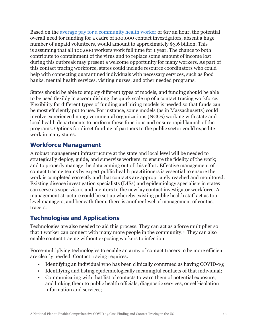Based on the [average pay for a community health worker](https://www.payscale.com/research/US/Job=Community_Health_Worker/Hourly_Rate) of \$17 an hour, the potential overall need for funding for a cadre of 100,000 contact investigators, absent a huge number of unpaid volunteers, would amount to approximately \$3.6 billion. This is assuming that all 100,000 workers work full time for 1 year. The chance to both contribute to containment of the virus and to replace some amount of income lost during this outbreak may present a welcome opportunity for many workers. As part of this contact tracing workforce, states could include resource coordinators who could help with connecting quarantined individuals with necessary services, such as food banks, mental health services, visiting nurses, and other needed programs.

States should be able to employ different types of models, and funding should be able to be used flexibly in accomplishing the quick scale up of a contact tracing workforce. Flexibility for different types of funding and hiring models is needed so that funds can be most efficiently put to use. For instance, some models (as in Massachusetts) could involve experienced nongovernmental organizations (NGOs) working with state and local health departments to perform these functions and ensure rapid launch of the programs. Options for direct funding of partners to the public sector could expedite work in many states.

#### **Workforce Management**

A robust management infrastructure at the state and local level will be needed to strategically deploy, guide, and supervise workers; to ensure the fidelity of the work; and to properly manage the data coming out of this effort. Effective management of contact tracing teams by expert public health practitioners is essential to ensure the work is completed correctly and that contacts are appropriately reached and monitored. Existing disease investigation specialists (DISs) and epidemiology specialists in states can serve as supervisors and mentors to the new lay contact investigator workforce. A management structure could be set up whereby existing public health staff act as toplevel managers, and beneath them, there is another level of management of contact tracers.

## **Technologies and Applications**

Technologies are also needed to aid this process. They can act as a force multiplier so that 1 worker can connect with many more people in the community.<sup>21</sup> They can also enable contact tracing without exposing workers to infection.

Force-multiplying technologies to enable an army of contact tracers to be more efficient are clearly needed. Contact tracing requires:

- Identifying an individual who has been clinically confirmed as having COVID-19;
- Identifying and listing epidemiologically meaningful contacts of that individual;
- Communicating with that list of contacts to warn them of potential exposure, and linking them to public health officials, diagnostic services, or self-isolation information and services;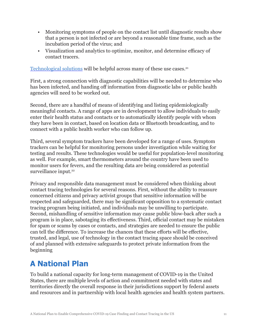- Monitoring symptoms of people on the contact list until diagnostic results show that a person is not infected or are beyond a reasonable time frame, such as the incubation period of the virus; and
- Visualization and analytics to optimize, monitor, and determine efficacy of contact tracers.

[Technological solutions](http://www.centerforhealthsecurity.org/resources/COVID-19/COVID-19-fact-sheets/200408-contact-tracing-factsheet.pdf) will be helpful across many of these use cases.<sup>21</sup>

First, a strong connection with diagnostic capabilities will be needed to determine who has been infected, and handing off information from diagnostic labs or public health agencies will need to be worked out.

Second, there are a handful of means of identifying and listing epidemiologically meaningful contacts. A range of apps are in development to allow individuals to easily enter their health status and contacts or to automatically identify people with whom they have been in contact, based on location data or Bluetooth broadcasting, and to connect with a public health worker who can follow up.

Third, several symptom trackers have been developed for a range of uses. Symptom trackers can be helpful for monitoring persons under investigation while waiting for testing and results. These technologies would be useful for population-level monitoring as well. For example, smart thermometers around the country have been used to monitor users for fevers, and the resulting data are being considered as potential surveillance input.<sup>22</sup>

Privacy and responsible data management must be considered when thinking about contact tracing technologies for several reasons. First, without the ability to reassure concerned citizens and privacy activist groups that sensitive information will be respected and safeguarded, there may be significant opposition to a systematic contact tracing program being initiated, and individuals may be unwilling to participate. Second, mishandling of sensitive information may cause public blow-back after such a program is in place, sabotaging its effectiveness. Third, official contact may be mistaken for spam or scams by cases or contacts, and strategies are needed to ensure the public can tell the difference. To increase the chances that these efforts will be effective, trusted, and legal, use of technology in the contact tracing space should be conceived of and planned with extensive safeguards to protect private information from the beginning

# **A National Plan**

To build a national capacity for long-term management of COVID-19 in the United States, there are multiple levels of action and commitment needed with states and territories directly the overall response in their jurisdictions support by federal assets and resources and in partnership with local health agencies and health system partners.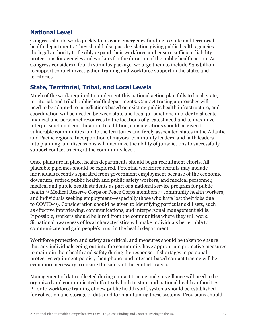## **National Level**

Congress should work quickly to provide emergency funding to state and territorial health departments. They should also pass legislation giving public health agencies the legal authority to flexibly expand their workforce and ensure sufficient liability protections for agencies and workers for the duration of the public health action. As Congress considers a fourth stimulus package, we urge them to include \$3.6 billion to support contact investigation training and workforce support in the states and territories.

## **State, Territorial, Tribal, and Local Levels**

Much of the work required to implement this national action plan falls to local, state, territorial, and tribal public health departments. Contact tracing approaches will need to be adapted to jurisdictions based on existing public health infrastructure, and coordination will be needed between state and local jurisdictions in order to allocate financial and personnel resources to the locations of greatest need and to maximize interjurisdictional coordination. In addition, considerations should be given to vulnerable communities and to the territories and freely associated states in the Atlantic and Pacific regions. Incorporation of mayors, community leaders, and faith leaders into planning and discussions will maximize the ability of jurisdictions to successfully support contact tracing at the community level.

Once plans are in place, health departments should begin recruitment efforts. All plausible pipelines should be explored. Potential workforce recruits may include individuals recently separated from government employment because of the economic downturn, retired public health and public safety workers, and medical personnel; medical and public health students as part of a national service program for public health;<sup>23</sup> Medical Reserve Corps or Peace Corps members;<sup>24</sup> community health workers; and individuals seeking employment—especially those who have lost their jobs due to COVID-19. Consideration should be given to identifying particular skill sets, such as effective interviewing, communications, and interpersonal management skills. If possible, workers should be hired from the communities where they will work. Situational awareness of local characteristics will make individuals better able to communicate and gain people's trust in the health department.

Workforce protection and safety are critical, and measures should be taken to ensure that any individuals going out into the community have appropriate protective measures to maintain their health and safety during the response. If shortages in personal protective equipment persist, then phone- and internet-based contact tracing will be even more necessary to ensure the safety of the contact tracers.

Management of data collected during contact tracing and surveillance will need to be organized and communicated effectively both to state and national health authorities. Prior to workforce training of new public health staff, systems should be established for collection and storage of data and for maintaining these systems. Provisions should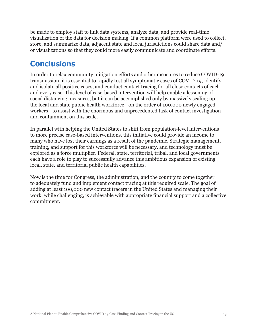be made to employ staff to link data systems, analyze data, and provide real-time visualization of the data for decision making. If a common platform were used to collect, store, and summarize data, adjacent state and local jurisdictions could share data and/ or visualizations so that they could more easily communicate and coordinate efforts.

# **Conclusions**

In order to relax community mitigation efforts and other measures to reduce COVID-19 transmission, it is essential to rapidly test all symptomatic cases of COVID-19, identify and isolate all positive cases, and conduct contact tracing for all close contacts of each and every case. This level of case-based intervention will help enable a lessening of social distancing measures, but it can be accomplished only by massively scaling up the local and state public health workforce—on the order of 100,000 newly engaged workers—to assist with the enormous and unprecedented task of contact investigation and containment on this scale.

In parallel with helping the United States to shift from population-level interventions to more precise case-based interventions, this initiative could provide an income to many who have lost their earnings as a result of the pandemic. Strategic management, training, and support for this workforce will be necessary, and technology must be explored as a force multiplier. Federal, state, territorial, tribal, and local governments each have a role to play to successfully advance this ambitious expansion of existing local, state, and territorial public health capabilities.

Now is the time for Congress, the administration, and the country to come together to adequately fund and implement contact tracing at this required scale. The goal of adding at least 100,000 new contact tracers in the United States and managing their work, while challenging, is achievable with appropriate financial support and a collective commitment.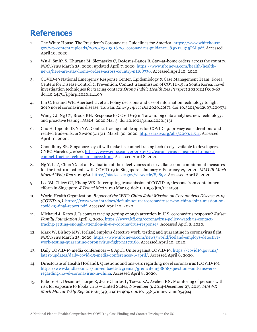# **References**

- 1. The White House. The President's Coronavirus Guidelines for America. [https://www.whitehouse.](https://www.whitehouse.gov/wp-content/uploads/2020/03/03.16.20_coronavirus-guidance_8.5x11_315PM.pdf) [gov/wp-content/uploads/2020/03/03.16.20\\_coronavirus-guidance\\_8.5x11\\_315PM.pdf.](https://www.whitehouse.gov/wp-content/uploads/2020/03/03.16.20_coronavirus-guidance_8.5x11_315PM.pdf) Accessed April 10, 2020.
- 2. Wu J, Smith S, Khurana M, Siemaszko C, DeJesus-Banos B. Stay-at-home orders across the country. *NBC News* March 25, 2020; updated April 7, 2020. [https://www.nbcnews.com/health/health](https://www.nbcnews.com/health/health-news/here-are-stay-home-orders-across-country-n1168736)[news/here-are-stay-home-orders-across-country-n1168736](https://www.nbcnews.com/health/health-news/here-are-stay-home-orders-across-country-n1168736). Accessed April 10, 2020.
- 3. COVID-19 National Emergency Response Center, Epidemiology & Case Management Team, Korea Centers for Disease Control & Prevention. Contact transmission of COVID-19 in South Korea: novel investigation techniques for tracing contacts.*Osong Public Health Res Perspect* 2020;11(1):60-63. doi:10.24171/j.phrp.2020.11.1.09
- 4. Lin C, Braund WE, Auerbach J, et al. Policy decisions and use of information technology to fight 2019 novel coronavirus disease, Taiwan. *Emerg Infect Dis* 2020;26(7). doi:10.3201/eid2607.200574
- 5. Wang CJ, Ng CY, Brook RH. Response to COVID-19 in Taiwan: big data analytics, new technology, and proactive testing. *JAMA*. 2020 Mar 3. doi:10.1001/jama.2020.3151
- 6. Cho H, Ippolito D, Yu YW. Contact tracing mobile apps for COVID-19: privacy considerations and related trade-offs. arXiv2003.11511. March 30, 2020. [http://arxiv.org/abs/2003.11511.](http://arxiv.org/abs/2003.11511) Accessed April 10, 2020.
- 7. Choudhury SR. Singapore says it will make its contact tracing tech freely available to developers. CNBC March 25, 2020. [https://www.cnbc.com/2020/03/25/coronavirus-singapore-to-make](https://www.cnbc.com/2020/03/25/coronavirus-singapore-to-make-contact-tracing-tech-open-source.html)[contact-tracing-tech-open-source.html.](https://www.cnbc.com/2020/03/25/coronavirus-singapore-to-make-contact-tracing-tech-open-source.html) Accessed April 8, 2020.
- 8. Ng Y, Li Z, Chua YX, et al. Evaluation of the effectiveness of surveillance and containment measures for the first 100 patients with COVID-19 in Singapore—January 2-February 29, 2020. *MMWR Morb Mortal Wkly Rep* 2020;69. <https://stacks.cdc.gov/view/cdc/85892>. Accessed April 8, 2020.
- 9. Lee VJ, Chiew CJ, Khong WX. Interrupting transmission of COVID-19: lessons from containment efforts in Singapore. *J Travel Med* 2020 Mar 13. doi:10.1093/jtm/taaa039
- 10. World Health Organization. *Report of the WHO-China Joint Mission on Coronavirus Disease 2019 (COVID-19)*. [https://www.who.int/docs/default-source/coronaviruse/who-china-joint-mission-on](https://www.who.int/docs/default-source/coronaviruse/who-china-joint-mission-on-covid-19-final-report.pdf)[covid-19-final-report.pdf.](https://www.who.int/docs/default-source/coronaviruse/who-china-joint-mission-on-covid-19-final-report.pdf) Accessed April 10, 2020.
- 11. Michaud J, Kates J. Is contact tracing getting enough attention in U.S. coronavirus response? *Kaiser Family Foundation* April 3, 2020. [https://www.kff.org/coronavirus-policy-watch/is-contact](https://www.kff.org/coronavirus-policy-watch/is-contact-tracing-getting-enough-attention-in-u-s-coro)[tracing-getting-enough-attention-in-u-s-coronavirus-response/.](https://www.kff.org/coronavirus-policy-watch/is-contact-tracing-getting-enough-attention-in-u-s-coro) Accessed April 8, 2020.
- 12. Marx W, Bishop MW. Iceland employs detective work, testing and quarantine in coronavirus fight. *NBC News* March 25, 2020. [https://www.nbcnews.com/news/world/iceland-employs-detective](https://www.nbcnews.com/news/world/iceland-employs-detective-work-testing-quarantine-coronavirus-fight-n1170166)[work-testing-quarantine-coronavirus-fight-n1170166.](https://www.nbcnews.com/news/world/iceland-employs-detective-work-testing-quarantine-coronavirus-fight-n1170166) Accessed April 10, 2020.
- 13. Daily COVID-19 media conferences 6 April. Unite against COVID-19. [https://covid19.govt.nz/](https://covid19.govt.nz/latest-updates/daily-covid-19-media-conferences-6-april/) [latest-updates/daily-covid-19-media-conferences-6-april/.](https://covid19.govt.nz/latest-updates/daily-covid-19-media-conferences-6-april/) Accessed April 8, 2020.
- 14. Directorate of Health [Iceland]. Questions and answers regarding novel coronavirus (COVID-19). [https://www.landlaeknir.is/um-embaettid/greinar/grein/item38808/questions-and-answers](https://www.landlaeknir.is/um-embaettid/greinar/grein/item38808/questions-and-answers-regarding-nove)[regarding-novel-coronavirus-in-china](https://www.landlaeknir.is/um-embaettid/greinar/grein/item38808/questions-and-answers-regarding-nove). Accessed April 8, 2020.
- 15. Kabore HJ, Desamu-Thorpe R, Jean-Charles L, Toews KA, Avchen RN. Monitoring of persons with risk for exposure to Ebola virus—United States, November 3, 2014-December 27, 2015. *MMWR Morb Mortal Wkly Rep* 2016;65(49):1401-1404. doi:10.15585/mmwr.mm6549a4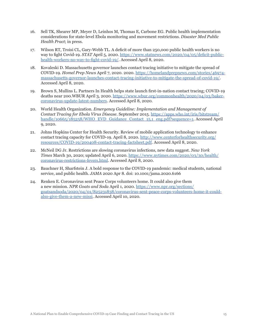- 16. Sell TK, Shearer MP, Meyer D, Leinhos M, Thomas E, Carbone EG. Public health implementation considerations for state-level Ebola monitoring and movement restrictions. *Disaster Med Public Health Pract*; in press.
- 17. Wilson RT, Troisi CL, Gary-Webb TL. A deficit of more than 250,000 public health workers is no way to fight Covid-19. *STAT* April 5, 2020. [https://www.statnews.com/2020/04/05/deficit-public](https://www.statnews.com/2020/04/05/deficit-public-health-workers-no-way-to-fight-covid-19/)[health-workers-no-way-to-fight-covid-19/.](https://www.statnews.com/2020/04/05/deficit-public-health-workers-no-way-to-fight-covid-19/) Accessed April 8, 2020.
- 18. Kovaleski D. Massachusetts governor launches contact tracing initiative to mitigate the spread of COVID-19. *Homel Prep News* April 7, 2020. 2020. [https://homelandprepnews.com/stories/46974](https://homelandprepnews.com/stories/46974-massachusetts-governor-launches-contact-tracing-initiativ) [massachusetts-governor-launches-contact-tracing-initiative-to-mitigate-the-spread-of-covid-19/.](https://homelandprepnews.com/stories/46974-massachusetts-governor-launches-contact-tracing-initiativ) Accessed April 8, 2020.
- 19. Brown S, Mullins L. Partners In Health helps state launch first-in-nation contact tracing; COVID-19 deaths near 200.WBUR April 3, 2020. [https://www.wbur.org/commonhealth/2020/04/03/baker](https://www.wbur.org/commonhealth/2020/04/03/baker-coronavirus-update-latest-numbers)[coronavirus-update-latest-numbers](https://www.wbur.org/commonhealth/2020/04/03/baker-coronavirus-update-latest-numbers). Accessed April 8, 2020.
- 20. World Health Organization. *Emergency Guideline: Implementation and Management of Contact Tracing for Ebola Virus Disease*. September 2015. [https://apps.who.int/iris/bitstream/](https://apps.who.int/iris/bitstream/handle/10665/185258/WHO_EVD_Guidance_Contact_15.1_eng.pdf?sequen) [handle/10665/185258/WHO\\_EVD\\_Guidance\\_Contact\\_15.1\\_eng.pdf?sequence=1](https://apps.who.int/iris/bitstream/handle/10665/185258/WHO_EVD_Guidance_Contact_15.1_eng.pdf?sequen). Accessed April 9, 2020.
- 21. Johns Hopkins Center for Health Security. Review of mobile application technology to enhance contact tracing capacity for COVID-19. April 8, 2020. [http://www.centerforhealthsecurity.org/](http://www.centerforhealthsecurity.org/resources/COVID-19/200408-contact-tracing-factsheet.pdf) [resources/COVID-19/200408-contact-tracing-factsheet.pdf.](http://www.centerforhealthsecurity.org/resources/COVID-19/200408-contact-tracing-factsheet.pdf) Accessed April 8, 2020.
- 22. McNeil DG Jr. Restrictions are slowing coronavirus infections, new data suggest. *New York Times* March 30, 2020; updated April 6, 2020. [https://www.nytimes.com/2020/03/30/health/](https://www.nytimes.com/2020/03/30/health/coronavirus-restrictions-fevers.html) [coronavirus-restrictions-fevers.html](https://www.nytimes.com/2020/03/30/health/coronavirus-restrictions-fevers.html). Accessed April 8, 2020.
- 23. Bauchner H, Sharfstein J. A bold response to the COVID-19 pandemic: medical students, national service, and public health. *JAMA* 2020 Apr 8. doi: 10.1001/jama.2020.6166
- 24. Renken E. Coronavirus sent Peace Corps volunteers home. It could also give them a new mission. *NPR Goats and Soda* April 1, 2020. [https://www.npr.org/sections/](https://www.npr.org/sections/goatsandsoda/2020/04/01/825231838/coronavirus-sent-peace-corps-voluntee) [goatsandsoda/2020/04/01/825231838/coronavirus-sent-peace-corps-volunteers-home-it-could](https://www.npr.org/sections/goatsandsoda/2020/04/01/825231838/coronavirus-sent-peace-corps-voluntee)[also-give-them-a-new-missi.](https://www.npr.org/sections/goatsandsoda/2020/04/01/825231838/coronavirus-sent-peace-corps-voluntee) Accessed April 10, 2020.